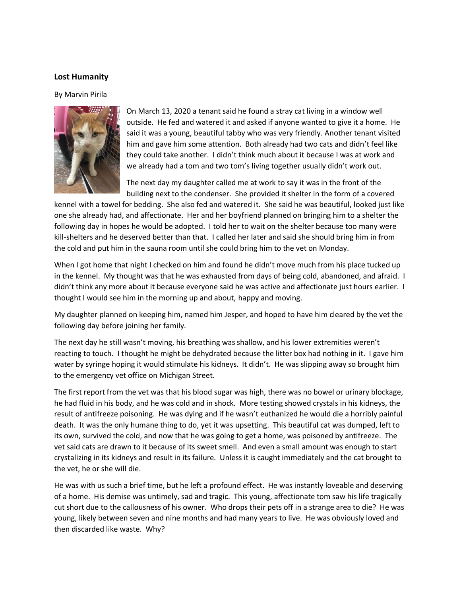## **Lost Humanity**

By Marvin Pirila



On March 13, 2020 a tenant said he found a stray cat living in a window well outside. He fed and watered it and asked if anyone wanted to give it a home. He said it was a young, beautiful tabby who was very friendly. Another tenant visited him and gave him some attention. Both already had two cats and didn't feel like they could take another. I didn't think much about it because I was at work and we already had a tom and two tom's living together usually didn't work out.

The next day my daughter called me at work to say it was in the front of the building next to the condenser. She provided it shelter in the form of a covered

kennel with a towel for bedding. She also fed and watered it. She said he was beautiful, looked just like one she already had, and affectionate. Her and her boyfriend planned on bringing him to a shelter the following day in hopes he would be adopted. I told her to wait on the shelter because too many were kill-shelters and he deserved better than that. I called her later and said she should bring him in from the cold and put him in the sauna room until she could bring him to the vet on Monday.

When I got home that night I checked on him and found he didn't move much from his place tucked up in the kennel. My thought was that he was exhausted from days of being cold, abandoned, and afraid. I didn't think any more about it because everyone said he was active and affectionate just hours earlier. I thought I would see him in the morning up and about, happy and moving.

My daughter planned on keeping him, named him Jesper, and hoped to have him cleared by the vet the following day before joining her family.

The next day he still wasn't moving, his breathing was shallow, and his lower extremities weren't reacting to touch. I thought he might be dehydrated because the litter box had nothing in it. I gave him water by syringe hoping it would stimulate his kidneys. It didn't. He was slipping away so brought him to the emergency vet office on Michigan Street.

The first report from the vet was that his blood sugar was high, there was no bowel or urinary blockage, he had fluid in his body, and he was cold and in shock. More testing showed crystals in his kidneys, the result of antifreeze poisoning. He was dying and if he wasn't euthanized he would die a horribly painful death. It was the only humane thing to do, yet it was upsetting. This beautiful cat was dumped, left to its own, survived the cold, and now that he was going to get a home, was poisoned by antifreeze. The vet said cats are drawn to it because of its sweet smell. And even a small amount was enough to start crystalizing in its kidneys and result in its failure. Unless it is caught immediately and the cat brought to the vet, he or she will die.

He was with us such a brief time, but he left a profound effect. He was instantly loveable and deserving of a home. His demise was untimely, sad and tragic. This young, affectionate tom saw his life tragically cut short due to the callousness of his owner. Who drops their pets off in a strange area to die? He was young, likely between seven and nine months and had many years to live. He was obviously loved and then discarded like waste. Why?